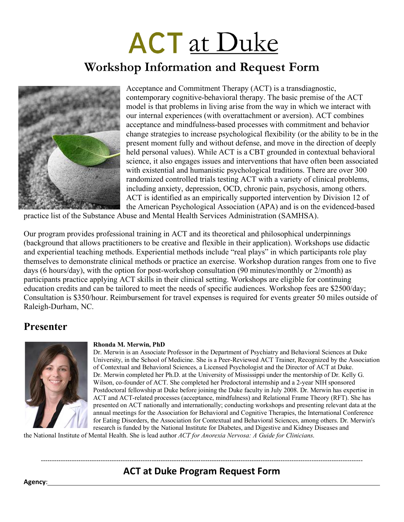# **ACT** at Duke

## **Workshop Information and Request Form**



Acceptance and Commitment Therapy (ACT) is a transdiagnostic, contemporary cognitive-behavioral therapy. The basic premise of the ACT model is that problems in living arise from the way in which we interact with our internal experiences (with overattachment or aversion). ACT combines acceptance and mindfulness-based processes with commitment and behavior change strategies to increase psychological flexibility (or the ability to be in the present moment fully and without defense, and move in the direction of deeply held personal values). While ACT is a CBT grounded in contextual behavioral science, it also engages issues and interventions that have often been associated with existential and humanistic psychological traditions. There are over 300 randomized controlled trials testing ACT with a variety of clinical problems, including anxiety, depression, OCD, chronic pain, psychosis, among others. ACT is identified as an empirically supported intervention by Division 12 of the American Psychological Association (APA) and is on the evidenced-based

practice list of the Substance Abuse and Mental Health Services Administration (SAMHSA).

Our program provides professional training in ACT and its theoretical and philosophical underpinnings (background that allows practitioners to be creative and flexible in their application). Workshops use didactic and experiential teaching methods. Experiential methods include "real plays" in which participants role play themselves to demonstrate clinical methods or practice an exercise. Workshop duration ranges from one to five days (6 hours/day), with the option for post-workshop consultation (90 minutes/monthly or 2/month) as participants practice applying ACT skills in their clinical setting. Workshops are eligible for continuing education credits and can be tailored to meet the needs of specific audiences. Workshop fees are \$2500/day; Consultation is \$350/hour. Reimbursement for travel expenses is required for events greater 50 miles outside of Raleigh-Durham, NC.

### **Presenter**



#### **Rhonda M. Merwin, PhD**

Dr. Merwin is an Associate Professor in the Department of Psychiatry and Behavioral Sciences at Duke University, in the School of Medicine. She is a Peer-Reviewed ACT Trainer, Recognized by the Association of Contextual and Behavioral Sciences, a Licensed Psychologist and the Director of ACT at Duke. Dr. Merwin completed her Ph.D. at the University of Mississippi under the mentorship of Dr. Kelly G. Wilson, co-founder of ACT. She completed her Predoctoral internship and a 2-year NIH sponsored Postdoctoral fellowship at Duke before joining the Duke faculty in July 2008. Dr. Merwin has expertise in ACT and ACT-related processes (acceptance, mindfulness) and Relational Frame Theory (RFT). She has presented on ACT nationally and internationally; conducting workshops and presenting relevant data at the annual meetings for the Association for Behavioral and Cognitive Therapies, the International Conference for Eating Disorders, the Association for Contextual and Behavioral Sciences, among others. Dr. Merwin's research is funded by the National Institute for Diabetes, and Digestive and Kidney Diseases and

the National Institute of Mental Health. She is lead author *ACT for Anorexia Nervosa: A Guide for Clinicians*.

#### ------------------------------------------------------------------------------------------------------------------------------------------------- **ACT at Duke Program Request Form**